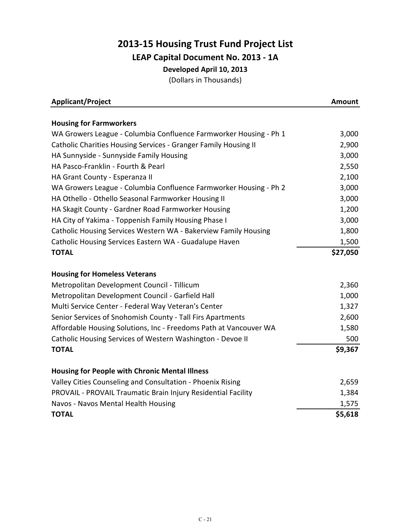## **2013‐15 Housing Trust Fund Project List LEAP Capital Document No. 2013 ‐ 1A Developed April 10, 2013** (Dollars in Thousands)

| Applicant/Project                                                 | Amount   |
|-------------------------------------------------------------------|----------|
|                                                                   |          |
| <b>Housing for Farmworkers</b>                                    |          |
| WA Growers League - Columbia Confluence Farmworker Housing - Ph 1 | 3,000    |
| Catholic Charities Housing Services - Granger Family Housing II   | 2,900    |
| HA Sunnyside - Sunnyside Family Housing                           | 3,000    |
| HA Pasco-Franklin - Fourth & Pearl                                | 2,550    |
| HA Grant County - Esperanza II                                    | 2,100    |
| WA Growers League - Columbia Confluence Farmworker Housing - Ph 2 | 3,000    |
| HA Othello - Othello Seasonal Farmworker Housing II               | 3,000    |
| HA Skagit County - Gardner Road Farmworker Housing                | 1,200    |
| HA City of Yakima - Toppenish Family Housing Phase I              | 3,000    |
| Catholic Housing Services Western WA - Bakerview Family Housing   | 1,800    |
| Catholic Housing Services Eastern WA - Guadalupe Haven            | 1,500    |
| <b>TOTAL</b>                                                      | \$27,050 |
| <b>Housing for Homeless Veterans</b>                              |          |
| Metropolitan Development Council - Tillicum                       | 2,360    |
| Metropolitan Development Council - Garfield Hall                  | 1,000    |
| Multi Service Center - Federal Way Veteran's Center               | 1,327    |
| Senior Services of Snohomish County - Tall Firs Apartments        | 2,600    |
| Affordable Housing Solutions, Inc - Freedoms Path at Vancouver WA | 1,580    |
| Catholic Housing Services of Western Washington - Devoe II        | 500      |
| <b>TOTAL</b>                                                      | \$9,367  |
| <b>Housing for People with Chronic Mental Illness</b>             |          |
| Valley Cities Counseling and Consultation - Phoenix Rising        | 2,659    |
| PROVAIL - PROVAIL Traumatic Brain Injury Residential Facility     | 1,384    |
| Navos - Navos Mental Health Housing                               | 1,575    |
| <b>TOTAL</b>                                                      | \$5,618  |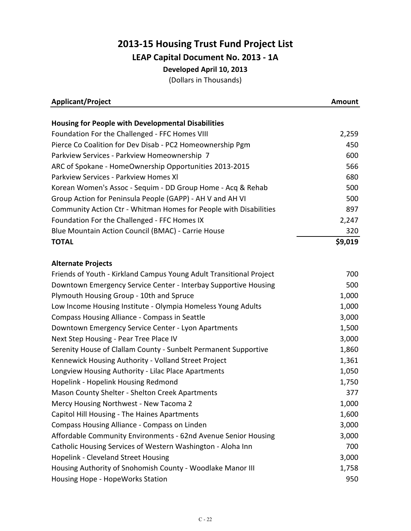## **2013‐15 Housing Trust Fund Project List LEAP Capital Document No. 2013 ‐ 1A Developed April 10, 2013**

(Dollars in Thousands)

| <b>Applicant/Project</b>                                            | <b>Amount</b> |
|---------------------------------------------------------------------|---------------|
| <b>Housing for People with Developmental Disabilities</b>           |               |
| Foundation For the Challenged - FFC Homes VIII                      | 2,259         |
| Pierce Co Coalition for Dev Disab - PC2 Homeownership Pgm           | 450           |
| Parkview Services - Parkview Homeownership 7                        | 600           |
| ARC of Spokane - HomeOwnership Opportunities 2013-2015              | 566           |
| Parkview Services - Parkview Homes XI                               | 680           |
| Korean Women's Assoc - Sequim - DD Group Home - Acq & Rehab         | 500           |
| Group Action for Peninsula People (GAPP) - AH V and AH VI           | 500           |
| Community Action Ctr - Whitman Homes for People with Disabilities   | 897           |
| Foundation For the Challenged - FFC Homes IX                        | 2,247         |
| Blue Mountain Action Council (BMAC) - Carrie House                  | 320           |
| <b>TOTAL</b>                                                        | \$9,019       |
|                                                                     |               |
| <b>Alternate Projects</b>                                           |               |
| Friends of Youth - Kirkland Campus Young Adult Transitional Project | 700           |
| Downtown Emergency Service Center - Interbay Supportive Housing     | 500           |
| Plymouth Housing Group - 10th and Spruce                            | 1,000         |
| Low Income Housing Institute - Olympia Homeless Young Adults        | 1,000         |
| Compass Housing Alliance - Compass in Seattle                       | 3,000         |
| Downtown Emergency Service Center - Lyon Apartments                 | 1,500         |
| Next Step Housing - Pear Tree Place IV                              | 3,000         |
| Serenity House of Clallam County - Sunbelt Permanent Supportive     | 1,860         |
| Kennewick Housing Authority - Volland Street Project                | 1,361         |
| Longview Housing Authority - Lilac Place Apartments                 | 1,050         |
| Hopelink - Hopelink Housing Redmond                                 | 1,750         |
| Mason County Shelter - Shelton Creek Apartments                     | 377           |
| Mercy Housing Northwest - New Tacoma 2                              | 1,000         |
| Capitol Hill Housing - The Haines Apartments                        | 1,600         |
| Compass Housing Alliance - Compass on Linden                        | 3,000         |
| Affordable Community Environments - 62nd Avenue Senior Housing      | 3,000         |
| Catholic Housing Services of Western Washington - Aloha Inn         | 700           |
| <b>Hopelink - Cleveland Street Housing</b>                          | 3,000         |
| Housing Authority of Snohomish County - Woodlake Manor III          | 1,758         |
| Housing Hope - HopeWorks Station                                    | 950           |